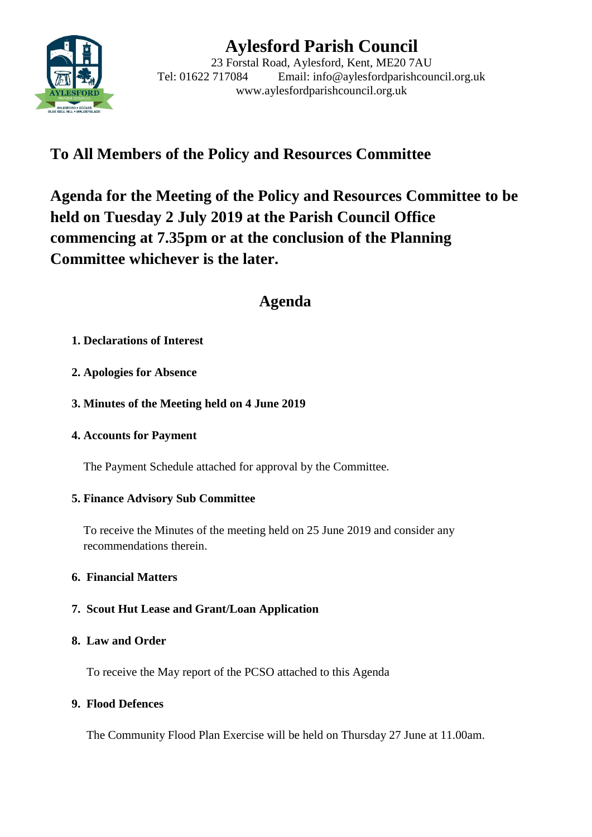

# **Aylesford Parish Council**

23 Forstal Road, Aylesford, Kent, ME20 7AU Tel: 01622 717084 Email: info@aylesfordparishcouncil.org.uk www.aylesfordparishcouncil.org.uk

## **To All Members of the Policy and Resources Committee**

**Agenda for the Meeting of the Policy and Resources Committee to be held on Tuesday 2 July 2019 at the Parish Council Office commencing at 7.35pm or at the conclusion of the Planning Committee whichever is the later.**

## **Agenda**

### **1. Declarations of Interest**

- **2. Apologies for Absence**
- **3. Minutes of the Meeting held on 4 June 2019**
- **4. Accounts for Payment**

The Payment Schedule attached for approval by the Committee.

## **5. Finance Advisory Sub Committee**

To receive the Minutes of the meeting held on 25 June 2019 and consider any recommendations therein.

#### **6. Financial Matters**

## **7. Scout Hut Lease and Grant/Loan Application**

#### **8. Law and Order**

To receive the May report of the PCSO attached to this Agenda

#### **9. Flood Defences**

The Community Flood Plan Exercise will be held on Thursday 27 June at 11.00am.